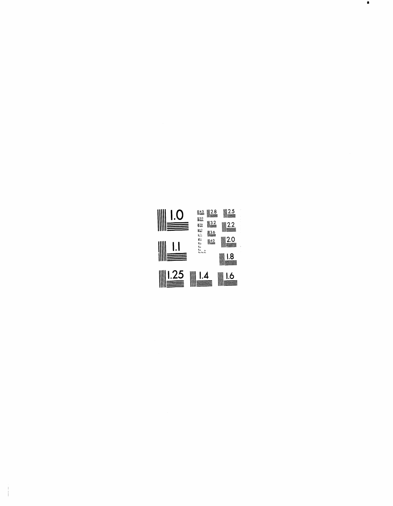

 $\begin{array}{c} \begin{array}{c} \text{1} \\ \text{2} \end{array} \end{array}$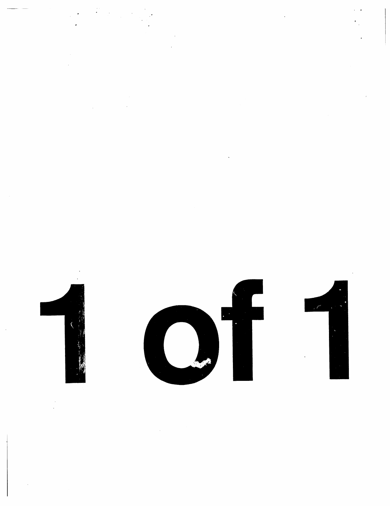$\langle \phi \rangle$ 

 $\label{eq:2.1} \frac{1}{\sqrt{2}}\left(\frac{1}{\sqrt{2}}\right)^{2} \left(\frac{1}{\sqrt{2}}\right)^{2} \left(\frac{1}{\sqrt{2}}\right)^{2} \left(\frac{1}{\sqrt{2}}\right)^{2} \left(\frac{1}{\sqrt{2}}\right)^{2} \left(\frac{1}{\sqrt{2}}\right)^{2} \left(\frac{1}{\sqrt{2}}\right)^{2} \left(\frac{1}{\sqrt{2}}\right)^{2} \left(\frac{1}{\sqrt{2}}\right)^{2} \left(\frac{1}{\sqrt{2}}\right)^{2} \left(\frac{1}{\sqrt{2}}\right)^{2} \left(\$ 



 $\sim 10^{-10}$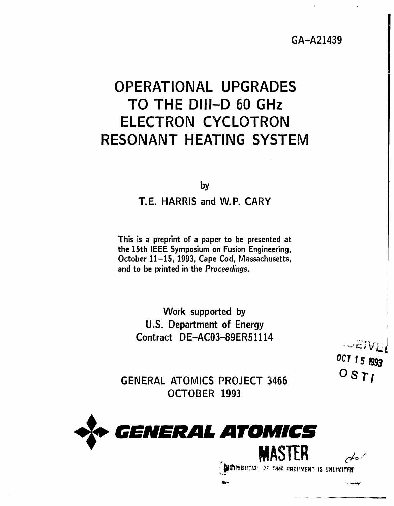# GA-A21439

# **OPERATIONAL UPGRADES** TO THE DIII-D 60 GHz **ELECTRON CYCLOTRON RESONANT HEATING SYSTEM**

by

# T.E. HARRIS and W.P. CARY

This is a preprint of a paper to be presented at the 15th IEEE Symposium on Fusion Engineering, October 11-15, 1993. Cape Cod, Massachusetts, and to be printed in the Proceedings.

> Work supported by **U.S. Department of Energy** Contract DE-AC03-89ER51114

 $-EIV$ OCT 15 1993  $OSTI$ 

 $\sim$ 

**GENERAL ATOMICS PROJECT 3466** OCTOBER 1993

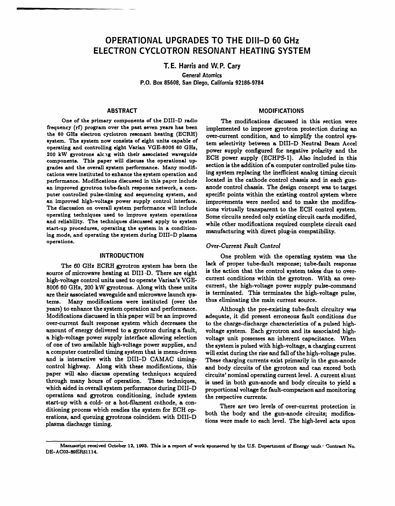# **OPERATIONAL UPGRADES TO THE DIII-D 60 GHz** ELECTRON CYCLOTRON RESONANT HEATING SYSTEM

T.E. Harris and W.P. Cary

**General Atomics** P.O. Box 85608, San Diego, California 92186-9784

# **ABSTRACT**

One of the primary components of the DIII-D radio frequency (rf) program over the past seven years has been the 60 GHz electron cyclotron resonant heating (ECRH) system. The system now consists of eight units capable of operating and controlling eight Varian VGE-8006 60 GHz, 200 kW gyrotrons along with their associated waveguide components. This paper will discuss the operational upgrades and the overall system performance. Many modifications were instituted to enhance the system operation and performance. Modifications discussed in this paper include an improved gyrotron tube-fault response network, a computer controlled pulse-timing and sequencing system, and an improved high-voltage power supply control interface. The discussion on overall system performance will include operating techniques used to improve system operations and reliability. The techniques discussed apply to system start-up procedures, operating the system in a conditioning mode, and operating the system during DIII-D plasma operations.

# **INTRODUCTION**

The 60 GHz ECRH gyrotron system has been the source of microwave heating at DIII -D. There are eight high-voltage control units used to operate Varian's VGE-8006 60 GHz, 200 kW gyrotrons. Along with these units are their associated waveguide and microwave launch systems. Many modifications were instituted (over the years) to enhance the system operation and performance. Modifications discussed in this paper will be an improved over-current fault response system which decreases the amount of energy delivered to a gyrotron during a fault, a high-voltage power supply interface allowing selection of one of two available high-voltage power supplies, and a computer controlled timing system that is menu-driven and is interactive with the DIII-D CAMAC timingcontrol highway. Along with these modifications, this paper will also discuss operating techniques acquired through many hours of operation. These techniques, which aided in overall system performance during DIII-D operations and gyrotron conditioning, include system start-up with a cold- or a hot-filament cathode, a conditioning process which readies the system for ECH operations, and queuing gyrotrons coincident with DIII-D plasma discharge timing.

# **MODIFICATIONS**

The modifications discussed in this section were implemented to improve gyrotron protection during an over-current condition, and to simplify the control system selectivity between a DIII-D Neutral Beam Accel power supply configured for negative polarity and the ECH power supply (ECHPS-1). Also included in this section is the addition of a computer controlled pulse timing system replacing the inefficient analog timing circuit located in the cathode control chassis and in each gunanode control chassis. The design concept was to target specific points within the existing control system where improvements were needed and to make the modifications virtually transparent to the ECH control system. Some circuits needed only existing circuit cards modified, while other modifications required complete circuit card manufacturing with direct plug-in compatibility.

# Over-Current Fault Control

One problem with the operating system was the lack of proper tube-fault response; tube-fault response is the action that the control system takes due to overcurrent conditions within the gyrotron. With an overcurrent, the high-voltage power supply pulse-command is terminated. This terminates the high-voltage pulse, thus eliminating the main current source.

Although the pre-existing tube-fault circuitry was adequate, it did present erroneous fault conditions due to the charge-discharge characteristics of a pulsed highvoltage system. Each gyrotron and its associated highvoltage unit possesses an inherent capacitance. When the system is pulsed with high-voltage, a charging current will exist during the rise and fall of the high-voltage pulse. These charging currents exist primarily in the gun-anode and body circuits of the gyrotron and can exceed both circuits' nominal operating current level. A current shunt is used in both gun-anode and body circuits to yield a proportional voltage for fault-comparison and monitoring the respective currents.

There are two levels of over-current protection in both the body and the gun-anode circuits; modifications were made to each level. The high-level acts upon

Manuscript received October 12, 1993. This is a report of work sponsored by the U.S. Department of Energy under Contract No. DE-AC03-89ER51114.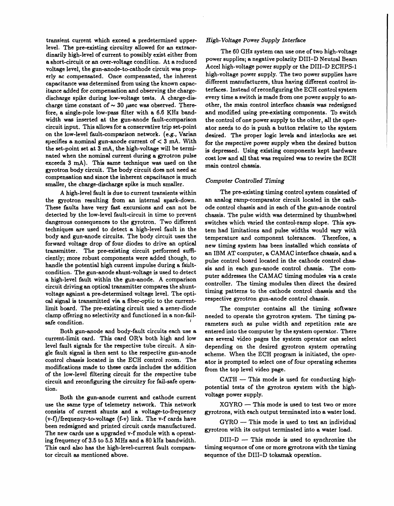transient current which exceed a predetermined upper- High-Voltage Power Supply Interface **l**e**v**el. Th**e** p**re-e**xis**ti**n**g circ**u**itry** all**ow**e**d** f**or a**n ex**tr**a**or**dinarily high-level of current to possibly exist either from<br>
ne 60 GHz system can use one of two high-voltage<br>
network circuit or an over nother condition. At a reduced power supplies; a negative polarity DIII-D Neutral B a short-circuit or an over-voltage condition. At a reduced **vo**l**t**ag**e lev**e**l, t**h**e** gun**-**an**od**e**-to-**c**at**h**od**e **c**ir**c**ui**t** was p**ro**perly ac compensated. Once compensated, the inherent **ca**pac**it**an**c**e was **d**e**t**e**r**mine**d f**r**o**m usin**g** th**e** kn**o**wn **ca**pacitance added for compensation and observing the charge-<br>discharge spike during low-voltage tests. A charge-dis-<br>every time a switch is made from one power supply to andischarge spike during low-voltage tests. A charge-dis-<br>charge time constant of  $\sim 30$  usec was observed. There- other, the main control interface chassis was redesigned charge time constant of  $\sim 30$  µsec was observed. Therefore, a single-pole low-pass filter with a 6.6 KHz band- and modified using pre-existing components. To switch<br>width was inserted at the gun-anode fault-comparison the control of one power supply to the other, all the oper width was inserted at the gun-anode fault-comparison the control of one power supply to the other, all the oper-<br>circuit input. This allows for a conservative trip set-point ator needs to do is push a button relative to th circuit input. This allows for a conservative trip set-point ator needs to do is push a button relative to the system<br>on the low-level fault-comparison network. (e.g., Varian desired. The proper logic levels and interlocks on the low-level fault-comparison network. (e.g., Varian desired. The proper logic levels and interlocks are set<br>specifies a nominal gun-anode current of  $\leq 3$  mA. With for the respective power supply when the desired b specifies a nominal gun-anode current of  $\leq$  3 mA. With for the respective power supply when the desired button<br>the set-point set at 3 mA, the high-voltage will be termi-<br>is depressed. Heing existing components kept bar the set-point set at 3 mA, the high-voltage will be termi-<br>nated when the nominal current during a gyrotron pulse<br>cost low and all that was required was to rewire the FCH nated when the nominal current during a gyrotron pulse cost low and all that was required was to rewire the ECH exceeds 3 mA). This same technique was used on the main captual change **e**x**ce**eds**3 mA)**. Th**i**s **s**am**e** t**ec**hniqu**e**w**a**s us**e**d on th**e** m**a**in **c**ont**r**ol**c**h**a**ss**is**. gy**r**otronbody **c**i**rc**uit.Th**e** body **c**ir**c**u**i**dot **e**snotn**e**ed ac smaller, the charge-discharge spike is much smaller. Computer Controlled Timing

the gyrotron resulting from an internal spark-down.<br>These faults have very fast excursions and can not be Thes**e** f**a**ultshav**e** v**e**ry fast**e**x**c**urs**i**on**s**and **ca**nnot b**e** ode **c**ontrol**c**hassis**a**nd in**eac**hofth**e** gun-anod**ec**ont**r**ol defected by the low-level fault-circuit in time to prevent chassis. The pulse width was determined by thumbwheel dangerous consequences to the gyrotron. Two different switches which varied the control-ramp slope. This sysdangerous consequences to the gyrotron. Two different switches which varied the control-ramp slope. This sys-<br>techniques are used to detect a high-level fault in the term had limitations and pulse widths would vary with techniques are used to detect a high-level fault in the term had limitations and pulse widths would vary with body and gun-anode circuits. The body circuit uses the temperature and component tolerances. Therefore a body and gun-anode circuits. The body circuit uses the temperature and component tolerances. Therefore, a forward voltage drop of four diodes to drive an optical new timing system has been installed which consists of forward voltage drop of four diodes to drive an optical new timing system has been installed which consists of transmitter. The pre-existing circuit performed suffi-<br>an IBM AT computer a CAMAC interface chaseis and a transmitter. The pre-existing circuit performed sum-<br>ciently; more robust components were added though, to<br>make entirel heard length of the exthede sentral character. cientify; more robust components were added though, to pulse control board located in the cathode control chas-<br>handle the potential high current impulse during a faulta h**ig**h-l**e**vel**f**aultwithinth**e** gun-anode.A **c**omp**ar**ison pute**ra**ddr**e**ss**e**sth**e**CAMAC t**i**mingmodules viaa **c**r**a**t**e** circuit driving an optical transmitter compares the shunt-<br>
uning patterns to the cathode control chassis and the<br>
uning patterns to the cathode control chassis and the voltage against a pre-determined voltage level. The opti-<br>and simple is transmitted via a fiber optic to the current respective gyrotron gun-anode control chassis. cal signal is transmitted via a fiber-optic to the currentlimit board. The pre-existing circuit used a zener-diode The computer contains all the timing software clamp offering no selectivity and functioned in a non-fail-<br>needed to operate the gyrotron system. The timing paclamp offering no selectivity and functioned in a non-fail-<br>safe condition.

gle fault signal is then sent to the respective gun-anode scheme. When the ECH program is initiated, the oper-<br>control chassis located in the ECH control room. The stor is prompted to select one of four operating schemes control chassis located in the ECH control room. The ator is prompted to select one of four operating schemes modifications made to these cards includes the addition from the top level video page. modi**fic**ationsm**a**de tothese**c**ardsin**c**ludestheadd**i**tion fro**m** thetop levelvideopage. of the low-level filtering circuit for the respective tube circuit and reconfiguring the circuitry for fail-safe opera-<br>potential tests of the gyrotron system with the high-<br>potential tests of the gyrotron system with the high-

Both the gun-anode current and cathode current use the same type of telemetry network. This network use the same type of telemetry network. This network XGYRO -- This mode is used to test two or more consists of current shunts and a voltage-to-frequency gyrotrons, with each output terminated into a water load. consists of current shunts and a voltage-to-frequency gyrotrons, with each output terminated into a water load.<br>(v-f)/frequency-to-voltage (f-v) link. The v-f cards have **b**ee**n** r**ed**e**signed** an**d printed ci**r**cuit cards manufactured.** The new cards use a upgraded v-f module with a operat-<br>ing frequency of 3.5 to 5.5 MHz and a 80 kHz bandwidth.  $DIII-D$  — This mode is used to synchronize the This card also has the high-level-current fault comparator circuit as mentioned above.

Ac**ce**l h**ig**h**-**v**olt**a**ge** p**o**w**er** supp**ly or t**h**e D**III-**D** E**C**HPS**-**1 **d**i**ff**e**re**n**t** man**uf**ac**t**u**r**e**r**s**,** th**u**s h**avi**n**g d**i**ff**e**re**n**t con**t**rol i**n**-**

A high-level fault is due to current transients within The pre-existing timing control system consisted of exth-<br>
grotron resulting from an internal spark-down. an analog ramp-comparator circuit located in the cathcondition. The gun-anode shunt-voltage is used to detect subset of the CAMAC timing modules via a crate

ondition.<br>Both gun-anode and body-fault circuits each use a centered into the computer by the system operator. There Both gun-anode and body-fault circuits each use a entered into the computer by the system operator. There current-limit card. This card OR's both high and low are several video pages the system operator can select **c**ur**r**ent-limit **c**ard. Th**i**s **c**a**r**d OR's both hi**g**h and low are seve**r**alvideopages the syste**m** ope**r**ato**rc**an **s**ele**c**t level fault signals for the respective tube circuit. A sin-<br>gle fault signal is then sent to the respective gun-anode<br>scheme. When the ECH program is initiated, the oper-

potential tests of the gyrotron system with the high-<br>voltage power supply.

GYRO - This mode is used to test an individual gyrotron with its output terminated into a water load.

ing frequency of 3.5 to 5.5 MHz and a 80 kHz bandwidth. DIII-D - This mode is used to synchronize the<br>This card also has the high-level-current fault compara- timing sequence of one or more gyrotrons with the timing **sequence** of the DIII-D tokamak operation.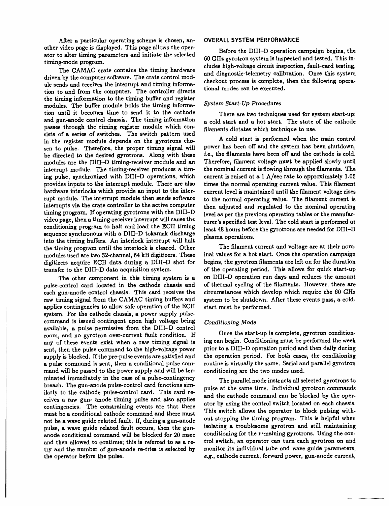After a particular operating scheme is chosen, an-<br>other video page is displayed. This page allows the oper-<br>perfect the DIU. Depending ator to alter timing parameters and initiate the selected<br>ator to alter timing parameters and initiate the selected

driven by the computer software. The crate control mod-<br>checkout process is complete, then the following operaule sends and receives the interrupt and timing informa-<br>time to end from the computer. The controllor director tional modes can be executed. **tion** to and from the computer. The controller directs the timing information to the timing buffer and register modules. The buffer module holds the timing informa-<br>tion until it becomes time to send it to the cathode There are two technique tion until it becomes time to send it to the cathode There are two techniques used for system start-up;<br>and gun-anode control chassis. The timing information a cold start and a bot start. The state of the cathode sists of a series of switches. The switch pattern used in the register module depends on the gyrotrons cho-<br>sen to pulse. Therefore, the proper timing signal will power has been off and the system has been shutdown, sen to **p**ulse.The**r**ef**ore,**the pro**p**ert**i**mingsign**a**lwil**l p**owe**r** h**a**s been o**ff**and th**e** syste**m**h**a**s been **s**hutdown, be directed to the desired gyrotrons. Along with these i.e., the filaments have been off and the cathode is cold.<br>modules are the DHI-D timing-receiver module and an Therefore, filament voltage must be applied slowly until **m**odu**l**esare**t**he DIII-D t**i**ming-r**ec**eiver **m**od**u**le and **a**n Therefore**fi,** l**am**entvolt**ag**emust be **ap**pliedslo**w**lyuntil interrupt module. The timing-receiver produces a timing pulse, synchronized with DIII-D operations, which ing pulse, synchronized with DIII–D operations, which current is raised at a 1 A/sec rate to approximately 1.05<br>provides inputs to the interrupt module. There are also times the normal operating current value. This filamen provides inputs to the interrupt module. There are also times the normal operating current value. This filament<br>hardware interlocks which provide an input to the inter-current level is maintained until the filament voltage h**a**rd**war**einterlo**c**k**ws**hi**c**h **pr**ovide**a**n inputtotheinte**r**- **c**u**rr**entlevelism**a**int**a**inedunt**i**lthe**fi**l**am**entvoltage**r**ises **rupt** module. The interrupt module then sends software to the normal operating value. The filament current is interrupts via the crate controller to the active computer then adjusted and regulated to the nominal operating interrupts via the crate controller to the active computer<br>timing program. If operating gyrotrons with the DIII-D lavel as par the previous operation tables or the manufacconditioning program to halt and load the ECH timing conditioning program to halt and load the ECH timing least 48 hours before the gyrotrons are needed for DIII-D<br>sequence synchronous with a DIII-D tokamak discharge plasma operations. into the timing buffers. An interlock interrupt will halt the timing program until the interlock is cleared. Other The filament current and voltage are at their nom-<br>modules used are two 32-channel, 64 kB digitizers. These inal values for a hot start. Once the operation campaign modules used are two 32-channel, 64 kB digitizers. These inal values for a hot start. Once the operation campaign<br>digitizers acquire ECH data during a DIII-D shot for begins, the gyrotron filaments are left on for the dura digitizers acquire ECH data during a DIII-D shot for transfer to the DIII-D data acquisition system.

each gun-anode control chassis. This card receives the<br>raw timing signal from the CAMAC timing buffers and **app**lies**c**ontingen**ci**\_to**a**llows**a**feope**ra**t**i**onoftheECH start**m**ust be **p**e**rf**ormed. system. For the cathode chassis, a power supply pulse-<br>command is issued contingent upon high voltage being **c**omm**a**nd isissued**c**ontingentupon high volt**ag**ebe**i**ng ConditioninM**g**ode **a**v**a**il**a**ble,**a** pulsepe**rm**issive**fr**o**m** the DIII-D **c**ontrol **room,** and no gyrotron over-current fault condition. If Once the start-up is complete, gyrotron condition-<br>
now of these events exist when a raw timing signal is ing can begin. Conditioning must be performed the week **a**ny of these events exist when **a** raw timing signal is sent, then the pulse command to the high-voltage power su**p**ply**i**sblo**c**ked.Ifthepre-pu**l**se**e**ventsaresatisfied**a**nd the oper**a**t**i**onperiod.For both **ca**ses,the **c**ondit**i**oning **a** pulse command is sent, then **a** conditional pulse com-<br>mand will be passed to the power supply and will be ter-<br>conditioning are the two modes used. mand will be passed to the power supply and will be ter-<br>minated immediately in the case of a pulse-contingency minated immediately in the case of a pulse-contingency<br>breach. The gun-anode pulse-control card functions simple at the same time. Individual gyrotron commands ilarly to the cathode pulse-control card. This card re-<br>ilarly to the cathode pulse-control card. This card re-<br>and the cathode command can be blocked by the operexample the carried pulse control card. This card it.<br>contingencies a raw gun- anode timing pulse and also applies<br>contingencies. The constraining events are that there ator by using the control switch located on each chas must be a conditional cathode command and there must<br>not be a wave quide related foult. If during a gun anode, out stopping the timing program. This is helpful when not be a wave guide related fault. If, during a gun-anode out stopping the timing program. This is helpful when<br>pulse a wave guide related fault occurs, then the gun-<br>isolating a troublesome gyrotron and still maintaining pulse, a wave guide related fault occurs, then the gun-<br>anode conditional command will be blocked for 20 msec conditioning for the remaining gyrotrons. Using the conanode conditional command will be blocked for 20 msec conditioning for the remaining gyrotrons. Using the con-<br>and then allowed to continue: this is referred to as a re- trol switch, an operator can turn each gyrotron on a and then allowed to continue; this is referred to as a re-<br>try and the number of gun-anode re-tries is selected by monitor its individual tube and wave guide parameters, try and the number of gun-anode re-tries is selected by the operator before the pulse.

ator to after thinning parameters and initiate the second of GHz gyrotron system is inspected and tested. This in-<br>cludes high-voltage circuit inspection, fault-card testing, The CAMAC crate contains the timing hardware and diagnostic-telemetry calibration. Once this system

**a**nd gun-anode**c**ont**r**ol**c**h**a**s**si**s.Th**e** t**im**inginform**a**tion **a c**oldstart**a**nd **a** hot start.The st**a**teofthe **c**athode

timing program. If operating gyrotrons with the DIII-D level as per the previous operation tables or the manufac-<br>video page, then a timing-receiver interrupt will cause the turer's specified test level. The cold start is

of the operating period. This allows for quick start-up The other component in this timing system is a on DIII-D operation run days and reduces the amount pulse-control card located in the cathode chassis and of thermal cycling of the filaments. However, there are of thermal cycling of the filaments. However, there are circumstances which develop which require the 60 GHz  $s$ ystem to be shutdown. After these events pass, a cold-

prior to a DIII-D operation period and then daily during the operation period. For both cases, the conditioning

**c** This switch allows the operator to block pulsing withth**e**op**e**r**a**to**r**befo**re**thepulse, e.**g**.**ca**, thod**ec**u**rr**entforwa **, r**dpow**er**,gun-**a**nod**ec**ur**r**ent**,**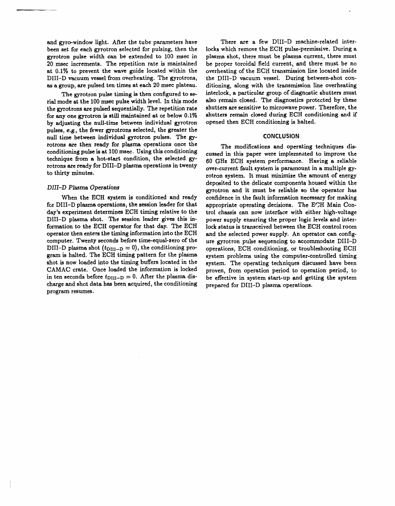and gyro-window light. After the tube parameters have been set for each gyrotron selected for pulsing, then the gyrotron pulse width can be extended to 100 msec in 20 msec increments. The repetition rate is maintained at 0.1% to prevent the wave guide located within the DIII-D vacuum vessel from overheating. The gyrotrons, as a group, are pulsed ten times at each 20 msec plateau.

The gyrotron pulse timing is then configured to serial mode at the 100 msec pulse width level. In this mode the gyrotrons are pulsed sequentially. The repetition rate for any one gyrotron is still maintained at or below 0.1% by adjusting the null-time between individual gyrotron pulses, e.g., the fewer gyrotrons selected, the greater the null time between individual gyrotron pulses. The gyrotrons are then ready for plasma operations once the conditioning pulse is at 100 msec. Using this conditioning technique from a hot-start condition, the selected gyrotrons are ready for DIII-D plasma operations in twenty to thirty minutes.

# **DIII-D Plasma Operations**

When the ECH system is conditioned and ready for DIII-D plasma operations, the session leader for that day's experiment determines ECH timing relative to the DIII-D plasma shot. The session leader gives this information to the ECH operator for that day. The ECH operator then enters the timing information into the ECH computer. Twenty seconds before time-equal-zero of the DIII-D plasma shot  $(t_{\text{DIII}-D} = 0)$ , the conditioning program is halted. The ECH timing pattern for the plasma shot is now loaded into the timing buffers located in the CAMAC crate. Once loaded the information is locked in ten seconds before  $t_{\text{DIII}-D} = 0$ . After the plasma discharge and shot data has been acquired, the conditioning program resumes.

There are a few DIII-D machine-related interlocks which remove the ECH pulse-permissive. During a plasma shot, there must be plasma current, there must be proper toroidal field current, and there must be no overheating of the ECH transmission line located inside the DIII-D vacuum vessel. During between-shot conditioning, along with the transmission line overheating interlock, a particular group of diagnostic shutters must also remain closed. The diagnostics protected by these shutters are sensitive to microwave power. Therefore, the shutters remain closed during ECH conditioning and if opened then ECH conditioning is halted.

## **CONCLUSION**

The modifications and operating techniques discussed in this paper were implemented to improve the 60 GHz ECH system performance. Having a reliable over-current fault system is paramount in a multiple gyrotron system. It must minimize the amount of energy deposited to the delicate components housed within the gyrotron and it must be reliable so the operator has confidence in the fault information necessary for making appropriate operating decisions. The ECH Main Control chassis can now interface with either high-voltage power supply ensuring the proper logic levels and interlock status is transceived between the ECH control room and the selected power supply. An operator can configure gyrotron pulse sequencing to accommodate DIII-D operations, ECH conditioning, or troubleshooting ECH system problems using the computer-controlled timing system. The operating techniques discussed have been proven, from operation period to operation period, to be effective in system start-up and getting the system prepared for DIII-D plasma operations.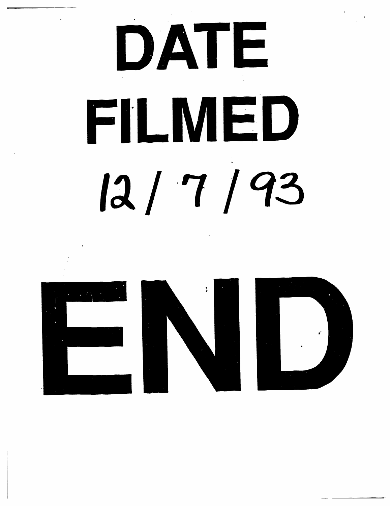# DATE FILMED 12/7/93